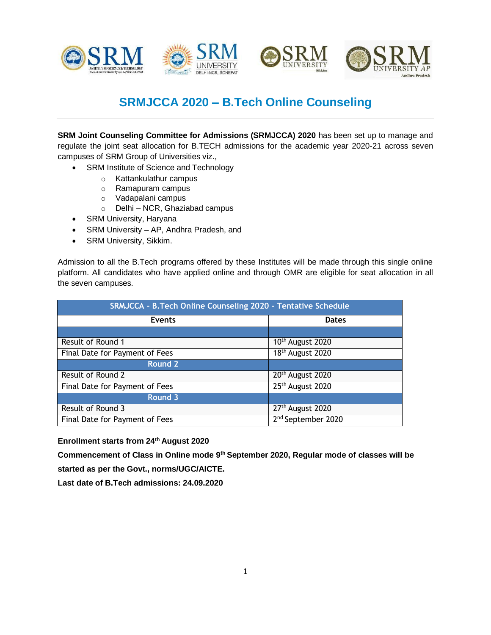







## **SRMJCCA 2020 – B.Tech Online Counseling**

**SRM Joint Counseling Committee for Admissions (SRMJCCA) 2020** has been set up to manage and regulate the joint seat allocation for B.TECH admissions for the academic year 2020-21 across seven campuses of SRM Group of Universities viz.,

- SRM Institute of Science and Technology
	- o Kattankulathur campus
	- o Ramapuram campus
	- o Vadapalani campus
	- o Delhi NCR, Ghaziabad campus
- SRM University, Haryana
- SRM University AP, Andhra Pradesh, and
- SRM University, Sikkim.

Admission to all the B.Tech programs offered by these Institutes will be made through this single online platform. All candidates who have applied online and through OMR are eligible for seat allocation in all the seven campuses.

| SRMJCCA - B.Tech Online Counseling 2020 - Tentative Schedule |                                |
|--------------------------------------------------------------|--------------------------------|
| <b>Events</b>                                                | <b>Dates</b>                   |
|                                                              |                                |
| Result of Round 1                                            | 10 <sup>th</sup> August 2020   |
| Final Date for Payment of Fees                               | 18 <sup>th</sup> August 2020   |
| <b>Round 2</b>                                               |                                |
| Result of Round 2                                            | 20 <sup>th</sup> August 2020   |
| Final Date for Payment of Fees                               | 25 <sup>th</sup> August 2020   |
| <b>Round 3</b>                                               |                                |
| Result of Round 3                                            | 27 <sup>th</sup> August 2020   |
| Final Date for Payment of Fees                               | 2 <sup>nd</sup> September 2020 |

**Enrollment starts from 24th August 2020**

**Commencement of Class in Online mode 9th September 2020, Regular mode of classes will be started as per the Govt., norms/UGC/AICTE.**

**Last date of B.Tech admissions: 24.09.2020**